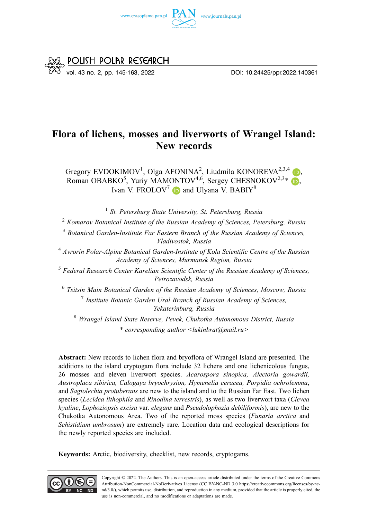



# **Flora of lichens, mosses and liverworts of Wrangel Island: New records**

Gregory EVDOKIMOV<sup>1</sup>[,](https://orcid.org/0000-0002-4487-5154) Olga AFONINA<sup>2</sup>, Liudmila KONOREVA<sup>2,3,4</sup> (D, Roman OBABKO<sup>5</sup>[,](https://orcid.org/0000-0001-9466-4534) Yuriy MAMONTOV<sup>4,6</sup>, Sergey CHESNOKOV<sup>2,3</sup>\* Ivan V. FROLOV<sup>7</sup>  $\bullet$  and Ulyana V. BABIY<sup>8</sup>

<sup>1</sup>*St. Petersburg State University, St. Petersburg, Russia* 

<sup>2</sup>*Komarov Botanical Institute of the Russian Academy of Sciences, Petersburg, Russia* 

<sup>3</sup>*Botanical Garden-Institute Far Eastern Branch of the Russian Academy of Sciences, Vladivostok, Russia* 

<sup>4</sup>*Avrorin Polar-Alpine Botanical Garden-Institute of Kola Scientific Centre of the Russian Academy of Sciences, Murmansk Region, Russia* 

<sup>5</sup>*Federal Research Center Karelian Scientific Center of the Russian Academy of Sciences, Petrozavodsk, Russia* 

<sup>6</sup>*Tsitsin Main Botanical Garden of the Russian Academy of Sciences, Moscow, Russia*  <sup>7</sup>*Institute Botanic Garden Ural Branch of Russian Academy of Sciences, Yekaterinburg, Russia* 

<sup>8</sup>*Wrangel Island State Reserve, Pevek, Chukotka Autonomous District, Russia \* corresponding author <lukinbrat@mail.ru>* 

**Abstract:** New records to lichen flora and bryoflora of Wrangel Island are presented. The additions to the island cryptogam flora include 32 lichens and one lichenicolous fungus, 26 mosses and eleven liverwort species. *Acarospora sinopica, Alectoria gowardii, Austroplaca sibirica, Calogaya bryochrysion, Hymenelia ceracea, Porpidia ochrolemma*, and *Sagiolechia protuberans* are new to the island and to the Russian Far East. Two lichen species (*Lecidea lithophila* and *Rinodina terrestris*), as well as two liverwort taxa (*Clevea hyaline*, *Lophoziopsis excisa* var. *elegans* and *Pseudolophozia debiliformis*), are new to the Chukotka Autonomous Area. Two of the reported moss species (*Funaria arctica* and *Schistidium umbrosum*) are extremely rare. Location data and ecological descriptions for the newly reported species are included.

**Keywords:** Arctic, biodiversity, checklist, new records, cryptogams.

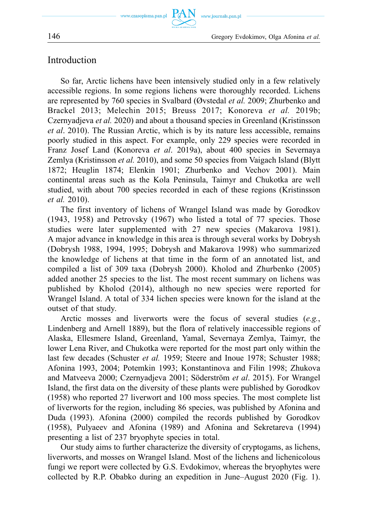## Introduction

So far, Arctic lichens have been intensively studied only in a few relatively accessible regions. In some regions lichens were thoroughly recorded. Lichens are represented by 760 species in Svalbard (Øvstedal *et al.* 2009; Zhurbenko and Brackel 2013; Melechin 2015; Breuss 2017; Konoreva *et al.* 2019b; Czernyadjeva *et al.* 2020) and about a thousand species in Greenland (Kristinsson *et al*. 2010). The Russian Arctic, which is by its nature less accessible, remains poorly studied in this aspect. For example, only 229 species were recorded in Franz Josef Land (Konoreva *et al*. 2019a), about 400 species in Severnaya Zemlya (Kristinsson *et al.* 2010), and some 50 species from Vaigach Island (Blytt 1872; Heuglin 1874; Elenkin 1901; Zhurbenko and Vechov 2001). Main continental areas such as the Kola Peninsula, Taimyr and Chukotka are well studied, with about 700 species recorded in each of these regions (Kristinsson *et al.* 2010).

**PAN** 

The first inventory of lichens of Wrangel Island was made by Gorodkov (1943, 1958) and Petrovsky (1967) who listed a total of 77 species. Those studies were later supplemented with 27 new species (Makarova 1981). A major advance in knowledge in this area is through several works by Dobrysh (Dobrysh 1988, 1994, 1995; Dobrysh and Makarova 1998) who summarized the knowledge of lichens at that time in the form of an annotated list, and compiled a list of 309 taxa (Dobrysh 2000). Kholod and Zhurbenko (2005) added another 25 species to the list. The most recent summary on lichens was published by Kholod (2014), although no new species were reported for Wrangel Island. A total of 334 lichen species were known for the island at the outset of that study.

Arctic mosses and liverworts were the focus of several studies (*e.g.*, Lindenberg and Arnell 1889), but the flora of relatively inaccessible regions of Alaska, Ellesmere Island, Greenland, Yamal, Severnaya Zemlya, Taimyr, the lower Lena River, and Chukotka were reported for the most part only within the last few decades (Schuster *et al.* 1959; Steere and Inoue 1978; Schuster 1988; Afonina 1993, 2004; Potemkin 1993; Konstantinova and Filin 1998; Zhukova and Matveeva 2000; Czernyadjeva 2001; Söderström *et al*. 2015). For Wrangel Island, the first data on the diversity of these plants were published by Gorodkov (1958) who reported 27 liverwort and 100 moss species. The most complete list of liverworts for the region, including 86 species, was published by Afonina and Duda (1993). Afonina (2000) compiled the records published by Gorodkov (1958), Pulyaeev and Afonina (1989) and Afonina and Sekretareva (1994) presenting a list of 237 bryophyte species in total.

Our study aims to further characterize the diversity of cryptogams, as lichens, liverworts, and mosses on Wrangel Island. Most of the lichens and lichenicolous fungi we report were collected by G.S. Evdokimov, whereas the bryophytes were collected by R.P. Obabko during an expedition in June–August 2020 (Fig. 1).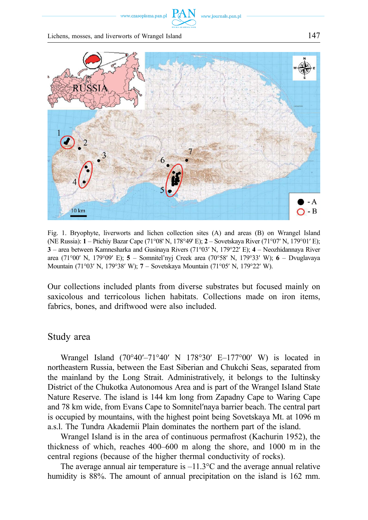www.czasopisma.pan.pl

Lichens, mosses, and liverworts of Wrangel Island 147



Fig. 1. Bryophyte, liverworts and lichen collection sites (A) and areas (B) on Wrangel Island (NE Russia): **1** – Ptichiy Bazar Cape (71°08' N, 178°49' E); **2** – Sovetskaya River (71°07′ N, 179°01′ E); **3** – area between Kamnesharka and Gusinaya Rivers (71°03′ N, 179°22′ E); **4** – Neozhidannaya River area (71°00′ N, 179°09′ E); **5** – Somnitel'nyj Creek area (70°58′ N, 179°33′ W); **6** – Dvuglavaya Mountain (71°03′ N, 179°38′ W); **7** – Sovetskaya Mountain (71°05′ N, 179°22′ W).

Our collections included plants from diverse substrates but focused mainly on saxicolous and terricolous lichen habitats. Collections made on iron items, fabrics, bones, and driftwood were also included.

#### Study area

Wrangel Island (70°40′–71°40′ N 178°30′ E–177°00′ W) is located in northeastern Russia, between the East Siberian and Chukchi Seas, separated from the mainland by the Long Strait. Administratively, it belongs to the Iultinsky District of the Chukotka Autonomous Area and is part of the Wrangel Island State Nature Reserve. The island is 144 km long from Zapadny Cape to Waring Cape and 78 km wide, from Evans Cape to Somnitel′naya barrier beach. The central part is occupied by mountains, with the highest point being Sovetskaya Mt. at 1096 m a.s.l. The Tundra Akademii Plain dominates the northern part of the island.

Wrangel Island is in the area of continuous permafrost (Kachurin 1952), the thickness of which, reaches 400–600 m along the shore, and 1000 m in the central regions (because of the higher thermal conductivity of rocks).

The average annual air temperature is  $-11.3$ °C and the average annual relative humidity is 88%. The amount of annual precipitation on the island is 162 mm.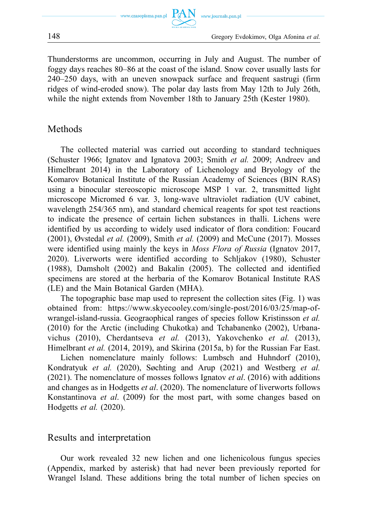Thunderstorms are uncommon, occurring in July and August. The number of foggy days reaches 80–86 at the coast of the island. Snow cover usually lasts for 240–250 days, with an uneven snowpack surface and frequent sastrugi (firm ridges of wind-eroded snow). The polar day lasts from May 12th to July 26th, while the night extends from November 18th to January 25th (Kester 1980).

### Methods

The collected material was carried out according to standard techniques (Schuster 1966; Ignatov and Ignatova 2003; Smith *et al.* 2009; Andreev and Himelbrant 2014) in the Laboratory of Lichenology and Bryology of the Komarov Botanical Institute of the Russian Academy of Sciences (BIN RAS) using a binocular stereoscopic microscope MSP 1 var. 2, transmitted light microscope Micromed 6 var. 3, long-wave ultraviolet radiation (UV cabinet, wavelength 254/365 nm), and standard chemical reagents for spot test reactions to indicate the presence of certain lichen substances in thalli. Lichens were identified by us according to widely used indicator of flora condition: Foucard (2001), Øvstedal *et al.* (2009), Smith *et al.* (2009) and McCune (2017). Mosses were identified using mainly the keys in *Moss Flora of Russia* (Ignatov 2017, 2020). Liverworts were identified according to Schljakov (1980), Schuster (1988), Damsholt (2002) and Bakalin (2005). The collected and identified specimens are stored at the herbaria of the Komarov Botanical Institute RAS (LE) and the Main Botanical Garden (MHA).

The topographic base map used to represent the collection sites (Fig. 1) was obtained from: [https://www.skyecooley.com/single-post/2016/03/25/map-of](https://www.skyecooley.com/single-post/2016/03/25/map-of-wrangel-island-russia)[wrangel-island-russia.](https://www.skyecooley.com/single-post/2016/03/25/map-of-wrangel-island-russia) Geograophical ranges of species follow Kristinsson *et al.*  (2010) for the Arctic (including Chukotka) and Tchabanenko (2002), Urbanavichus (2010), Cherdantseva *et al.* (2013), Yakovchenko *et al.* (2013), Himelbrant *et al.* (2014, 2019), and Skirina (2015a, b) for the Russian Far East.

Lichen nomenclature mainly follows: Lumbsch and Huhndorf (2010), Kondratyuk *et al.* (2020), Søchting and Arup (2021) and Westberg *et al.*  (2021). The nomenclature of mosses follows Ignatov *et al*. (2016) with additions and changes as in Hodgetts *et al*. (2020). The nomenclature of liverworts follows Konstantinova *et al*. (2009) for the most part, with some changes based on Hodgetts *et al.* (2020).

#### Results and interpretation

Our work revealed 32 new lichen and one lichenicolous fungus species (Appendix, marked by asterisk) that had never been previously reported for Wrangel Island. These additions bring the total number of lichen species on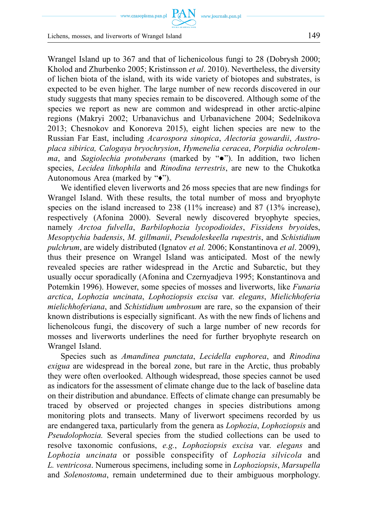www.czasopisma.pan.pl  $\text{ PAN}_{\text{www.journals.pan.pl}}$ 

Wrangel Island up to 367 and that of lichenicolous fungi to 28 (Dobrysh 2000; Kholod and Zhurbenko 2005; Kristinsson *et al*. 2010). Nevertheless, the diversity of lichen biota of the island, with its wide variety of biotopes and substrates, is expected to be even higher. The large number of new records discovered in our study suggests that many species remain to be discovered. Although some of the species we report as new are common and widespread in other arctic-alpine regions (Makryi 2002; Urbanavichus and Urbanavichene 2004; Sedelnikova 2013; Chesnokov and Konoreva 2015), eight lichen species are new to the Russian Far East, including *Acarospora sinopica*, *Alectoria gowardii*, *Austroplaca sibirica, Calogaya bryochrysion*, *Hymenelia ceracea*, *Porpidia ochrolemma*, and *Sagiolechia protuberans* (marked by "●"). In addition, two lichen species, *Lecidea lithophila* and *Rinodina terrestris*, are new to the Chukotka Autonomous Area (marked by "♦").

We identified eleven liverworts and 26 moss species that are new findings for Wrangel Island. With these results, the total number of moss and bryophyte species on the island increased to 238 (11% increase) and 87 (13% increase), respectively (Afonina 2000). Several newly discovered bryophyte species, namely *Arctoa fulvella*, *Barbilophozia lycopodioides*, *Fissidens bryoid*es, *Mesoptychia badensis*, *M. gillmanii*, *Pseudoleskeella rupestris*, and *Schistidium pulchrum*, are widely distributed (Ignatov *et al.* 2006; Konstantinova *et al*. 2009), thus their presence on Wrangel Island was anticipated. Most of the newly revealed species are rather widespread in the Arctic and Subarctic, but they usually occur sporadically (Afonina and Czernyadjeva 1995; Konstantinova and Potemkin 1996). However, some species of mosses and liverworts, like *Funaria arctica*, *Lophozia uncinata*, *Lophoziopsis excisa* var. *elegans*, *Mielichhoferia mielichhoferiana*, and *Schistidium umbrosum* are rare, so the expansion of their known distributions is especially significant. As with the new finds of lichens and lichenolcous fungi, the discovery of such a large number of new records for mosses and liverworts underlines the need for further bryophyte research on Wrangel Island.

Species such as *Amandinea punctata*, *Lecidella euphorea*, and *Rinodina exigua* are widespread in the boreal zone, but rare in the Arctic, thus probably they were often overlooked. Although widespread, those species cannot be used as indicators for the assessment of climate change due to the lack of baseline data on their distribution and abundance. Effects of climate change can presumably be traced by observed or projected changes in species distributions among monitoring plots and transects. Many of liverwort specimens recorded by us are endangered taxa, particularly from the genera as *Lophozia*, *Lophoziopsis* and *Pseudolophozia.* Several species from the studied collections can be used to resolve taxonomic confusions, *e.g.*, *Lophoziopsis excisa* var. *elegans* and *Lophozia uncinata* or possible conspecifity of *Lophozia silvicola* and *L. ventricosa*. Numerous specimens, including some in *Lophoziopsis*, *Marsupella*  and *Solenostoma*, remain undetermined due to their ambiguous morphology.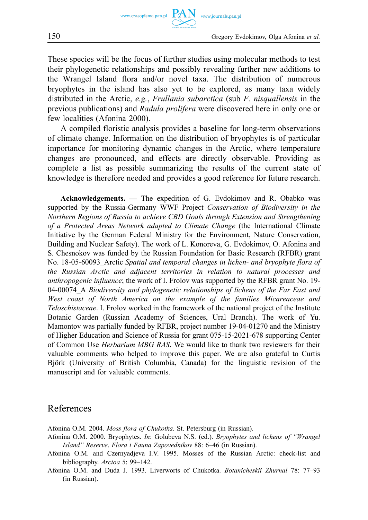These species will be the focus of further studies using molecular methods to test their phylogenetic relationships and possibly revealing further new additions to the Wrangel Island flora and/or novel taxa. The distribution of numerous bryophytes in the island has also yet to be explored, as many taxa widely distributed in the Arctic, *e.g.*, *Frullania subarctica* (sub *F. nisquallensis* in the previous publications) and *Radula prolifera* were discovered here in only one or few localities (Afonina 2000).

A compiled floristic analysis provides a baseline for long-term observations of climate change. Information on the distribution of bryophytes is of particular importance for monitoring dynamic changes in the Arctic, where temperature changes are pronounced, and effects are directly observable. Providing as complete a list as possible summarizing the results of the current state of knowledge is therefore needed and provides a good reference for future research.

**Acknowledgements.** *—* The expedition of G. Evdokimov and R. Obabko was supported by the Russia-Germany WWF Project *Conservation of Biodiversity in the Northern Regions of Russia to achieve CBD Goals through Extension and Strengthening of a Protected Areas Network adapted to Climate Change* (the International Climate Initiative by the German Federal Ministry for the Environment, Nature Conservation, Building and Nuclear Safety). The work of L. Konoreva, G. Evdokimov, O. Afonina and S. Chesnokov was funded by the Russian Foundation for Basic Research (RFBR) grant No. 18-05-60093\_Arctic *Spatial and temporal changes in lichen- and bryophyte flora of the Russian Arctic and adjacent territories in relation to natural processes and anthropogenic influence*; the work of I. Frolov was supported by the RFBR grant No. 19- 04-00074\_A *Biodiversity and phylogenetic relationships of lichens of the Far East and West coast of North America on the example of the families Micareaceae and Teloschistaceae*. I. Frolov worked in the framework of the national project of the Institute Botanic Garden (Russian Academy of Sciences, Ural Branch). The work of Yu. Mamontov was partially funded by RFBR, project number 19-04-01270 and the Ministry of Higher Education and Science of Russia for grant 075-15-2021-678 supporting Center of Common Use *Herbarium MBG RAS*. We would like to thank two reviewers for their valuable comments who helped to improve this paper. We are also grateful to Curtis Björk (University of British Columbia, Canada) for the linguistic revision of the manuscript and for valuable comments.

#### References

Afonina O.M. 2004. *Moss flora of Chukotka*. St. Petersburg (in Russian).

- Afonina O.M. 2000. Bryophytes. *In*: Golubeva N.S. (ed.). *Bryophytes and lichens of "Wrangel Island" Reserve*. *Flora i Fauna Zapovednikov* 88: 6–46 (in Russian).
- Afonina O.M. and Czernyadjeva I.V. 1995. Mosses of the Russian Arctic: check-list and bibliography. *Arctoa* 5: 99–142.
- Afonina O.M. and Duda J. 1993. Liverworts of Chukotka. *Botanicheskii Zhurnal* 78: 77–93 (in Russian).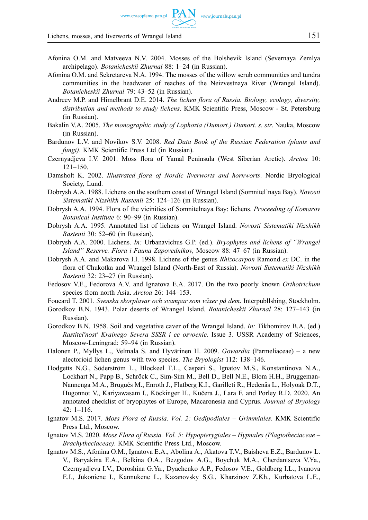- Afonina O.M. and Matveeva N.V. 2004. Mosses of the Bolshevik Island (Severnaya Zemlya archipelago). *Botanicheskii Zhurnal* 88: 1–24 (in Russian).
- Afonina O.M. and Sekretareva N.A. 1994. The mosses of the willow scrub communities and tundra communities in the headwater of reaches of the Neizvestnaya River (Wrangel Island). *Botanicheskii Zhurnal* 79: 43–52 (in Russian).
- Andreev М.Р. and Himelbrant D.Е. 2014. *The lichen flora of Russia. Biology, ecology, diversity, distribution and methods to study lichens*. KMK Scientific Press, Moscow - St. Petersburg (in Russian).
- Bakalin V.A. 2005. *The monographic study of Lophozia (Dumort.) Dumort. s. str*. Nauka, Moscow (in Russian).
- Bardunov L.V. and Novikov S.V. 2008. *Red Data Book of the Russian Federation (plants and fungi)*. KMK Scientific Press Ltd (in Russian).
- Czernyadjeva I.V. 2001. Moss flora of Yamal Peninsula (West Siberian Arctic). *Arctoa* 10: 121–150.
- Damsholt K. 2002. *Illustrated flora of Nordic liverworts and hornworts*. Nordic Bryological Society, Lund.
- Dobrysh A.A. 1988. Lichens on the southern coast of Wrangel Island (Somnitel'naya Bay). *Novosti Sistematiki Nizshikh Rastenii* 25: 124–126 (in Russian).
- Dobrysh A.A. 1994. Flora of the vicinities of Somnitelnaya Bay: lichens. *Proceeding of Komarov Botanical Institute* 6: 90–99 (in Russian).
- Dobrysh A.A. 1995. Annotated list of lichens on Wrangel Island. *Novosti Sistematiki Nizshikh Rastenii* 30: 52–60 (in Russian).
- Dobrysh A.A. 2000. Lichens. *In:* Urbanavichus G.P. (ed.). *Bryophytes and lichens of "Wrangel Island" Reserve. Flora i Fauna Zapovednikov,* Moscow 88: 47–67 (in Russian).
- Dobrysh A.A. and Makarova I.I. 1998. Lichens of the genus *Rhizocarpon* Ramond *ex* DC. in the flora of Chukotka and Wrangel Island (North-East of Russia). *Novosti Sistematiki Nizshikh Rastenii* 32: 23–27 (in Russian).
- Fedosov V.E., Fedorova A.V. and Ignatova E.A. 2017. On the two poorly known *Orthotrichum*  species from north Asia. *Arctoa* 26: 144–153.
- Foucard T. 2001. *Svenska skorplavar och svampar som växer på dem*. Interpubllshing, Stockholm.
- Gorodkov B.N. 1943. Polar deserts of Wrangel Island. *Botanicheskii Zhurnal* 28: 127–143 (in Russian).
- Gorodkov B.N. 1958. Soil and vegetative caver of the Wrangel Island. *In:* Tikhomirov B.A. (ed.) *Rastitel′nost′ Krainego Severa SSSR i ee osvoenie*. Issue 3. USSR Academy of Sciences, Moscow-Leningrad: 59–94 (in Russian).
- Halonen P., Myllys L., Velmala S. and Hyvärinen H. 2009. *Gowardia* (Parmeliaceae) a new alectorioid lichen genus with two species. *The Bryologist* 112: 138–146.
- Hodgetts N.G., Söderström L., Blockeel T.L., Caspari S., Ignatov M.S., Konstantinova N.A., Lockhart N., Papp B., Schröck C., Sim-Sim M., Bell D., Bell N.E., Blom H.H., Bruggeman-Nannenga M.A., Brugués M., Enroth J., Flatberg K.I., Garilleti R., Hedenäs L., Holyoak D.T., Hugonnot V., Kariyawasam I., Köckinger H., Kučera J., Lara F. and Porley R.D. 2020. An annotated checklist of bryophytes of Europe, Macaronesia and Cyprus. *Journal of Bryology*  42: 1–116.
- Ignatov M.S. 2017. *Moss Flora of Russia. Vol. 2: Oedipodiales Grimmiales*. KMK Scientific Press Ltd., Moscow.
- Ignatov M.S. 2020. *Moss Flora of Russia. Vol. 5: Hypopterygiales Hypnales (Plagiotheciaceae Brachytheciaceae)*. KMK Scientific Press Ltd., Moscow.
- Ignatov M.S., Afonina O.M., Ignatova E.A., Abolina A., Akatova T.V., Baisheva E.Z., Bardunov L. V., Baryakina E.A., Belkina O.A., Bezgodov A.G., Boychuk M.A., Cherdantseva V.Ya., Czernyadjeva I.V., Doroshina G.Ya., Dyachenko A.P., Fedosov V.E., Goldberg I.L., Ivanova E.I., Jukoniene I., Kannukene L., Kazanovsky S.G., Kharzinov Z.Kh., Kurbatova L.E.,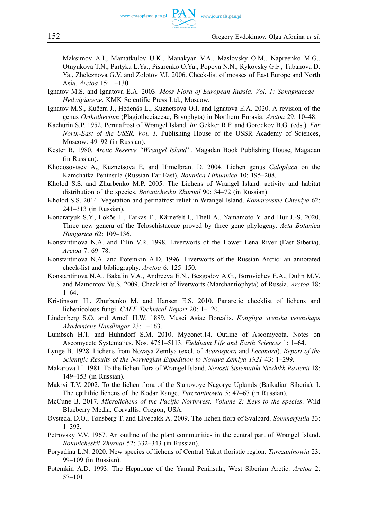Маksimov А.I., Mamatkulov U.K., Manakyan V.A., Maslovsky O.M., Napreenko M.G., Otnyukova T.N., Partyka L.Ya., Pisarenko O.Yu., Popova N.N., Rykovsky G.F., Tubanova D. Ya., Zheleznova G.V. and Zolotov V.I. 2006. Check-list of mosses of East Europe and North Asia. *Arctoa* 15: 1–130.

- Ignatov M.S. and Ignatova E.A. 2003. *Moss Flora of European Russia*. *Vol. 1: Sphagnaceae Hedwigiaceae*. KMK Scientific Press Ltd., Moscow.
- Ignatov M.S., Kučera J., Hedenäs L., Kuznetsova O.I. and Ignatova E.A. 2020. A revision of the genus *Orthothecium* (Plagiotheciaceae, Bryophyta) in Northern Eurasia. *Arctoa* 29: 10–48.
- Kachurin S.P. 1952. Permafrost of Wrangel Island. *In:* Gekker R.F. and Gorodkov B.G. (eds.). *Far North-East of the USSR. Vol. 1*. Publishing House of the USSR Academy of Sciences, Moscow: 49–92 (in Russian).
- Kester B. 1980. *Arctic Reserve "Wrangel Island"*. Magadan Book Publishing House, Magadan (in Russian).
- Khodosovtsev A., Kuznetsova E. and Himelbrant D. 2004. Lichen genus *Caloplaca* on the Kamchatka Peninsula (Russian Far East). *Botanica Lithuanica* 10: 195–208.
- Kholod S.S. and Zhurbenko M.P. 2005. The Lichens of Wrangel Island: activity and habitat distribution of the species. *Botanicheskii Zhurnal* 90: 34–72 (in Russian).
- Kholod S.S. 2014. Vegetation and permafrost relief in Wrangel Island. *Komarovskie Chteniya* 62: 241–313 (in Russian).
- Kondratyuk S.Y., Lőkös L., Farkas E., Kärnefelt I., Thell A., Yamamoto Y. and Hur J.-S. 2020. Three new genera of the Teloschistaceae proved by three gene phylogeny. *Acta Botanica Hungarica* 62: 109–136.
- Konstantinova N.A. and Filin V.R. 1998. Liverworts of the Lower Lena River (East Siberia). *Arctoa* 7: 69–78.
- Konstantinova N.A. and Potemkin A.D. 1996. Liverworts of the Russian Arctic: an annotated check-list and bibliography. *Arctoa* 6: 125–150.
- Konstantinova N.A., Bakalin V.A., Andreeva E.N., Bezgodov A.G., Borovichev E.A., Dulin M.V. and Mamontov Yu.S. 2009. Checklist of liverworts (Marchantiophyta) of Russia. *Arctoa* 18: 1–64.
- Kristinsson H., Zhurbenko M. and Hansen E.S. 2010. Panarctic checklist of lichens and lichenicolous fungi. *CAFF Technical Report* 20: 1–120.
- Lindenberg S.O. and Arnell H.W. 1889. Musci Asiae Borealis. *Kongliga svenska vetenskaps Akademiens Handlingar* 23: 1–163.
- Lumbsch H.T. and Huhndorf S.M. 2010. Myconet.14. Outline of Ascomycota. Notes on Ascomycete Systematics. Nos. 4751–5113. *Fieldiana Life and Earth Sciences* 1: 1–64.
- Lynge B. 1928. Lichens from Novaya Zemlya (excl. of *Acarospora* and *Lecanora*). *Report of the Scientific Results of the Norwegian Expedition to Novaya Zemlya 1921* 43: 1–299.
- Makarova I.I. 1981. To the lichen flora of Wrangel Island. *Novosti Sistematiki Nizshikh Rastenii* 18: 149–153 (in Russian).
- Makryi T.V. 2002. To the lichen flora of the Stanovoye Nagorye Uplands (Baikalian Siberia). I. The epilithic lichens of the Kodar Range. *Turczaninowia* 5: 47–67 (in Russian).
- McCune B. 2017. *Microlichens of the Pacific Northwest. Volume 2: Keys to the species*. Wild Blueberry Media, Corvallis, Oregon, USA.
- Øvstedal D.O., Tønsberg T. and Elvebakk A. 2009. The lichen flora of Svalbard. *Sommerfeltia* 33: 1–393.
- Petrovsky V.V. 1967. An outline of the plant communities in the central part of Wrangel Island. *Botanicheskii Zhurnal* 52: 332–343 (in Russian).
- Poryadina L.N. 2020. New species of lichens of Central Yakut floristic region. *Turczaninowia* 23: 99–109 (in Russian).
- Potemkin А.D. 1993. The Hepaticae of the Yamal Peninsula, West Siberian Arctic. *Arctoa* 2: 57–101.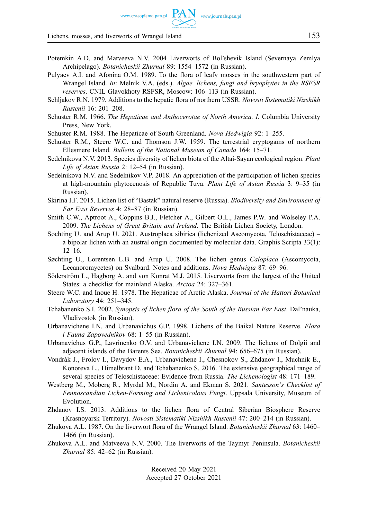www.czasopisma.pan.pl

Lichens, mosses, and liverworts of Wrangel Island 153

- Potemkin А.D. and Matveeva N.V. 2004 Liverworts of Bol'shevik Island (Severnaya Zemlya Archipelago). *Botanicheskii Zhurnal* 89: 1554–1572 (in Russian).
- Pulyaev A.I. and Afonina O.M. 1989. To the flora of leafy mosses in the southwestern part of Wrangel Island. *In*: Melnik V.A. (eds.). *Algae, lichens, fungi and bryophytes in the RSFSR reserves*. CNIL Glavokhoty RSFSR, Moscow: 106–113 (in Russian).
- Schljakov R.N. 1979. Additions to the hepatic flora of northern USSR. *Novosti Sistematiki Nizshikh Rastenii* 16: 201–208.
- Schuster R.M. 1966. *The Hepaticae and Anthocerotae of North America. I.* Columbia University Press, New York.
- Schuster R.M. 1988. The Hepaticae of South Greenland. *Nova Hedwigia* 92: 1–255.
- Schuster R.M., Steere W.C. and Thomson J.W. 1959. The terrestrial cryptogams of northern Ellesmere Island. *Bulletin of the National Museum of Canada* 164: 15–71.
- Sedelnikova N.V. 2013. Species diversity of lichen biota of the Altai-Sayan ecological region. *Plant Life of Asian Russia* 2: 12–54 (in Russian).
- Sedelnikova N.V. and Sedelnikov V.P. 2018. An appreciation of the participation of lichen species at high-mountain phytocenosis of Republic Tuva. *Plant Life of Asian Russia* 3: 9–35 (in Russian).
- Skirina I.F. 2015. Lichen list of "Bastak" natural reserve (Russia). *Biodiversity and Environment of Far East Reserves* 4: 28–87 (in Russian).
- Smith C.W., Aptroot A., Coppins B.J., Fletcher A., Gilbert O.L., James P.W. and Wolseley P.A. 2009. *The Lichens of Great Britain and Ireland*. The British Lichen Society, London.
- Søchting U. and Arup U. 2021. Austroplaca sibirica (lichenized Ascomycota, Teloschistaceae) a bipolar lichen with an austral origin documented by molecular data. Graphis Scripta 33(1): 12–16.
- Søchting U., Lorentsen L.B. and Arup U. 2008. The lichen genus *Caloplaca* (Ascomycota, Lecanoromycetes) on Svalbard. Notes and additions. *Nova Hedwigia* 87: 69–96.
- Söderström L., Hagborg A. and von Konrat M.J. 2015. Liverworts from the largest of the United States: a checklist for mainland Alaska. *Arctoa* 24: 327–361.
- Steere W.C. and Inoue H. 1978. The Hepaticae of Arctic Alaska. *Journal of the Hattori Botanical Laboratory* 44: 251–345.
- Tchabanenko S.I. 2002. *Synopsis of lichen flora of the South of the Russian Far East*. Dal'nauka, Vladivostok (in Russian).
- Urbanavichene I.N. and Urbanavichus G.P. 1998. Lichens of the Baikal Nature Reserve. *Flora i Fauna Zapovednikov* 68: 1–55 (in Russian).
- Urbanavichus G.P., Lavrinenko O.V. and Urbanavichene I.N. 2009. The lichens of Dolgii and adjacent islands of the Barents Sea. *Botanicheskii Zhurnal* 94: 656–675 (in Russian).
- Vondrák J., Frolov I., Davydov E.A., Urbanavichene I., Chesnokov S., Zhdanov I., Muchnik E., Konoreva L., Himelbrant D. and Tchabanenko S. 2016. The extensive geographical range of several species of Teloschistaceae: Evidence from Russia. *The Lichenologist* 48: 171–189.
- Westberg M., Moberg R., Myrdal M., Nordin A. and Ekman S. 2021. *Santesson's Checklist of Fennoscandian Lichen-Forming and Lichenicolous Fungi*. Uppsala University, Museum of Evolution.
- Zhdanov I.S. 2013. Additions to the lichen flora of Central Siberian Biosphere Reserve (Krasnoyarsk Territory). *Novosti Sistematiki Nizshikh Rastenii* 47: 200–214 (in Russian).
- Zhukova A.L. 1987. On the liverwort flora of the Wrangel Island. *Botanicheskii Zhurnal* 63: 1460– 1466 (in Russian).
- Zhukova A.L. and Matveeva N.V. 2000. The liverworts of the Taymyr Peninsula. *Botanicheskii Zhurnal* 85: 42–62 (in Russian).

Received 20 May 2021 Accepted 27 October 2021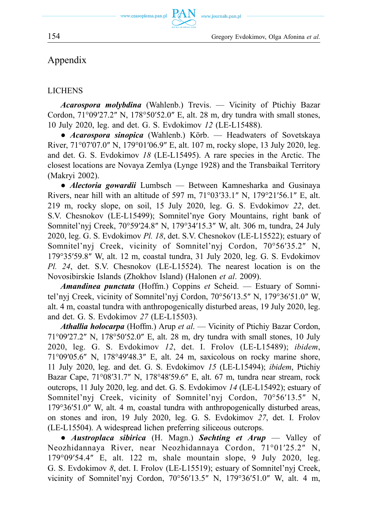www.czasopisma.pan.pl

www.journals.pan.p

154 Gregory Evdokimov, Olga Afonina *et al.* 

# Appendix

### LICHENS

*Acarospora molybdina* (Wahlenb.) Trevis. — Vicinity of Ptichiy Bazar Cordon, 71°09′27.2″ N, 178°50′52.0″ E, alt. 28 m, dry tundra with small stones, 10 July 2020, leg. and det. G. S. Evdokimov *12* (LE-L15488).

**PAN** 

● *Acarospora sinopica* (Wahlenb.) Körb. — Headwaters of Sovetskaya River, 71°07′07.0″ N, 179°01′06.9″ E, alt. 107 m, rocky slope, 13 July 2020, leg. and det. G. S. Evdokimov *18* (LE-L15495). A rare species in the Arctic. The closest locations are Novaya Zemlya (Lynge 1928) and the Transbaikal Territory (Makryi 2002).

● *Alectoria gowardii* Lumbsch — Between Kamnesharka and Gusinaya Rivers, near hill with an altitude of 597 m, 71°03′33.1″ N, 179°21′56.1″ E, alt. 219 m, rocky slope, on soil, 15 July 2020, leg. G. S. Evdokimov *22*, det. S.V. Chesnokov (LE-L15499); Somnitel'nye Gory Mountains, right bank of Somnitel'nyj Creek, 70°59′24.8″ N, 179°34′15.3″ W, alt. 306 m, tundra, 24 July 2020, leg. G. S. Evdokimov *Pl. 18*, det. S.V. Chesnokov (LE-L15522); estuary of Somnitel'nyj Creek, vicinity of Somnitel'nyj Cordon, 70°56′35.2″ N, 179°35′59.8″ W, alt. 12 m, coastal tundra, 31 July 2020, leg. G. S. Evdokimov *Pl. 24*, det. S.V. Chesnokov (LE-L15524). The nearest location is on the Novosibirskie Islands (Zhokhov Island) (Halonen *et al*. 2009).

*Amandinea punctata* (Hoffm.) Coppins *et* Scheid. — Estuary of Somnitel'nyj Creek, vicinity of Somnitel'nyj Cordon, 70°56′13.5″ N, 179°36′51.0″ W, alt. 4 m, coastal tundra with anthropogenically disturbed areas, 19 July 2020, leg. and det. G. S. Evdokimov *27* (LE-L15503).

*Athallia holocarpa* (Hoffm.) Arup *et al*. — Vicinity of Ptichiy Bazar Cordon, 71°09′27.2″ N, 178°50′52.0″ E, alt. 28 m, dry tundra with small stones, 10 July 2020, leg. G. S. Evdokimov *12*, det. I. Frolov (LE-L15489); *ibidem*, 71°09′05.6″ N, 178°49′48.3″ E, alt. 24 m, saxicolous on rocky marine shore, 11 July 2020, leg. and det. G. S. Evdokimov *15* (LE-L15494); *ibidem*, Ptichiy Bazar Cape, 71°08′31.7″ N, 178°48′59.6″ E, alt. 67 m, tundra near stream, rock outcrops, 11 July 2020, leg. and det. G. S. Evdokimov *14* (LE-L15492); estuary of Somnitel'nyj Creek, vicinity of Somnitel'nyj Cordon, 70°56′13.5″ N, 179°36′51.0″ W, alt. 4 m, coastal tundra with anthropogenically disturbed areas, on stones and iron, 19 July 2020, leg. G. S. Evdokimov *27*, det. I. Frolov (LE-L15504). A widespread lichen preferring siliceous outcrops.

● *Austroplaca sibirica* (H. Magn.) *Søchting et Arup* — Valley of Neozhidannaya River, near Neozhidannaya Cordon, 71°01′25.2″ N, 179°09′54.4″ E, alt. 122 m, shale mountain slope, 9 July 2020, leg. G. S. Evdokimov *8*, det. I. Frolov (LE-L15519); estuary of Somnitel'nyj Creek, vicinity of Somnitel'nyj Cordon, 70°56′13.5″ N, 179°36′51.0″ W, alt. 4 m,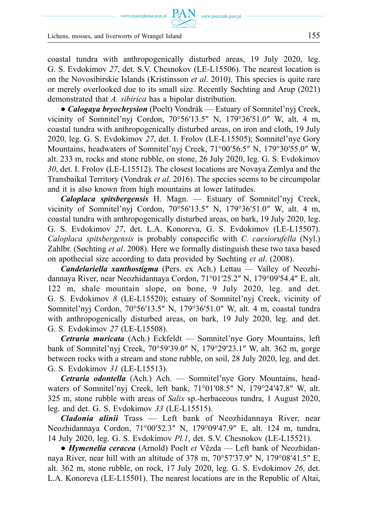www.czasopisma.pan.pl  $\text{ PAN}_{\text{www.journals.pan.pl}}$ 

Lichens, mosses, and liverworts of Wrangel Island 155

coastal tundra with anthropogenically disturbed areas, 19 July 2020, leg. G. S. Evdokimov *27*, det. S.V. Chesnokov (LE-L15506). The nearest location is on the Novosibirskie Islands (Kristinsson *et al*. 2010). This species is quite rare or merely overlooked due to its small size. Recently Søchting and Arup (2021) demonstrated that *A. sibirica* has a bipolar distribution.

*● Calogaya bryochrysion* (Poelt) Vondrák — Estuary of Somnitel'nyj Creek, vicinity of Somnitel'nyj Cordon,  $70^{\circ}56'13.5''$  N,  $179^{\circ}36'51.0''$  W, alt. 4 m, coastal tundra with anthropogenically disturbed areas, on iron and cloth, 19 July 2020, leg. G. S. Evdokimov *27*, det. I. Frolov (LE-L15505); Somnitel'nye Gory Mountains, headwaters of Somnitel'nyj Creek, 71°00′56.5″ N, 179°30′55.0″ W, alt. 233 m, rocks and stone rubble, on stone, 26 July 2020, leg. G. S. Evdokimov *30*, det. I. Frolov (LE-L15512). The closest locations are Novaya Zemlya and the Transbaikal Territory (Vondrak *et al*. 2016). The species seems to be circumpolar and it is also known from high mountains at lower latitudes.

*Caloplaca spitsbergensis* H. Magn. — Estuary of Somnitel'nyj Creek, vicinity of Somnitel'nyj Cordon, 70°56′13.5″ N, 179°36′51.0″ W, alt. 4 m, coastal tundra with anthropogenically disturbed areas, on bark, 19 July 2020, leg. G. S. Evdokimov *27*, det. L.A. Konoreva, G. S. Evdokimov (LE-L15507). *Caloplaca spitsbergensis* is probably conspecific with *C. caesiorufella* (Nyl.) Zahlbr. (Søchting *et al*. 2008). Here we formally distinguish these two taxa based on apothecial size according to data provided by Søchting *et al*. (2008).

*Candelariella xanthostigma* (Pers. ex Ach.) Lettau — Valley of Neozhidannaya River, near Neozhidannaya Cordon, 71°01′25.2″ N, 179°09′54.4″ E, alt. 122 m, shale mountain slope, on bone, 9 July 2020, leg. and det. G. S. Evdokimov *8* (LE-L15520); estuary of Somnitel'nyj Creek, vicinity of Somnitel'nyj Cordon, 70°56′13.5″ N, 179°36′51.0″ W, alt. 4 m, coastal tundra with anthropogenically disturbed areas, on bark, 19 July 2020, leg. and det. G. S. Evdokimov *27* (LE-L15508).

*Cetraria muricata* (Ach.) Eckfeldt — Somnitel'nye Gory Mountains, left bank of Somnitel'nyj Creek, 70°59′39.0″ N, 179°29′23.1″ W, alt. 362 m, gorge between rocks with a stream and stone rubble, on soil, 28 July 2020, leg. and det. G. S. Evdokimov *31* (LE-L15513).

*Cetraria odontella* (Ach.) Ach. — Somnitel'nye Gory Mountains, headwaters of Somnitel'nyj Creek, left bank, 71°01′08.5″ N, 179°24′47.8″ W, alt. 325 m, stone rubble with areas of *Salix* sp.-herbaceous tundra, 1 August 2020, leg. and det. G. S. Evdokimov *33* (LE-L15515).

*Cladonia alinii* Trass — Left bank of Neozhidannaya River, near Neozhidannaya Cordon, 71°00′52.3″ N, 179°09′47.9″ E, alt. 124 m, tundra, 14 July 2020, leg. G. S. Evdokimov *Pl.1*, det. S.V. Chesnokov (LE-L15521).

*● Hymenelia ceracea* (Arnold) Poelt *et* Vězda — Left bank of Neozhidannaya River, near hill with an altitude of 378 m, 70°57′37.9″ N, 179°08′41.5″ E, alt. 362 m, stone rubble, on rock, 17 July 2020, leg. G. S. Evdokimov *26*, det. L.A. Konoreva (LE-L15501). The nearest locations are in the Republic of Altai,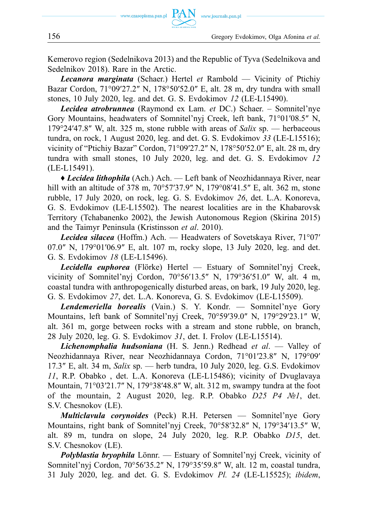Kemerovo region (Sedelnikova 2013) and the Republic of Tyva (Sedelnikova and Sedelnikov 2018). Rare in the Arctic.

*Lecanora marginata* (Schaer.) Hertel *et* Rambold — Vicinity of Ptichiy Bazar Cordon, 71°09′27.2″ N, 178°50′52.0″ E, alt. 28 m, dry tundra with small stones, 10 July 2020, leg. and det. G. S. Evdokimov *12* (LE-L15490).

*Lecidea atrobrunnea* (Raymond ex Lam. *et* DC.) Schaer. – Somnitel'nye Gory Mountains, headwaters of Somnitel'nyj Creek, left bank, 71°01′08.5″ N, 179°24′47.8″ W, alt. 325 m, stone rubble with areas of *Salix* sp. — herbaceous tundra, on rock, 1 August 2020, leg. and det. G. S. Evdokimov *33* (LE-L15516); vicinity of "Ptichiy Bazar" Cordon, 71°09′27.2″ N, 178°50′52.0″ E, alt. 28 m, dry tundra with small stones, 10 July 2020, leg. and det. G. S. Evdokimov *12*  (LE-L15491).

♦ *Lecidea lithophila* (Ach.) Ach. — Left bank of Neozhidannaya River, near hill with an altitude of 378 m, 70°57′37.9″ N, 179°08′41.5″ E, alt. 362 m, stone rubble, 17 July 2020, on rock, leg. G. S. Evdokimov *26*, det. L.A. Konoreva, G. S. Evdokimov (LE-L15502). The nearest localities are in the Khabarovsk Territory (Tchabanenko 2002), the Jewish Autonomous Region (Skirina 2015) and the Taimyr Peninsula (Kristinsson *et al*. 2010).

*Lecidea silacea* (Hoffm.) Ach. — Headwaters of Sovetskaya River, 71°07′ 07.0″ N, 179°01′06.9″ E, alt. 107 m, rocky slope, 13 July 2020, leg. and det. G. S. Evdokimov *18* (LE-L15496).

*Lecidella euphorea* (Flörke) Hertel — Estuary of Somnitel'nyj Creek, vicinity of Somnitel'nyj Cordon, 70°56′13.5″ N, 179°36′51.0″ W, alt. 4 m, coastal tundra with anthropogenically disturbed areas, on bark, 19 July 2020, leg. G. S. Evdokimov *27*, det. L.A. Konoreva, G. S. Evdokimov (LE-L15509).

*Lendemeriella borealis* (Vain.) S. Y. Kondr. — Somnitel'nye Gory Mountains, left bank of Somnitel'nyj Creek, 70°59′39.0″ N, 179°29′23.1″ W, alt. 361 m, gorge between rocks with a stream and stone rubble, on branch, 28 July 2020, leg. G. S. Evdokimov *31*, det. I. Frolov (LE-L15514).

*Lichenomphalia hudsoniana* (H. S. Jenn.) Redhead *et al*. — Valley of Neozhidannaya River, near Neozhidannaya Cordon, 71°01′23.8″ N, 179°09′ 17.3″ E, alt. 34 m, *Salix* sp. — herb tundra, 10 July 2020, leg. G.S. Evdokimov *11*, R.P. Obabko , det. L.A. Konoreva (LE-L15486); vicinity of Dvuglavaya Mountain, 71°03′21.7″ N, 179°38′48.8″ W, alt. 312 m, swampy tundra at the foot of the mountain, 2 August 2020, leg. R.P. Obabko *D25 P4 №1*, det. S.V. Chesnokov (LE).

*Multiclavula corynoides* (Peck) R.H. Petersen — Somnitel'nye Gory Mountains, right bank of Somnitel'nyj Creek, 70°58′32.8″ N, 179°34′13.5″ W, alt. 89 m, tundra on slope, 24 July 2020, leg. R.P. Obabko *D15*, det. S.V. Chesnokov (LE).

*Polyblastia bryophila* Lönnr. — Estuary of Somnitel'nyj Creek, vicinity of Somnitel'nyj Cordon, 70°56′35.2″ N, 179°35′59.8″ W, alt. 12 m, coastal tundra, 31 July 2020, leg. and det. G. S. Evdokimov *Pl. 24* (LE-L15525); *ibidem*,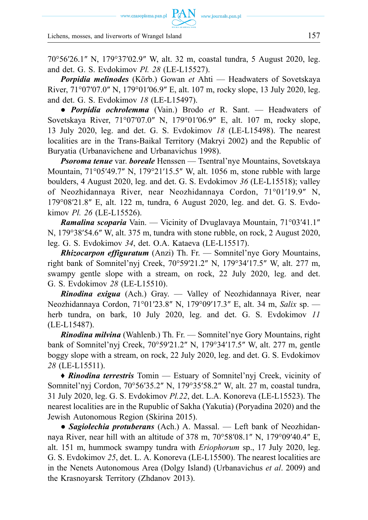www.czasopisma.pan.pl  $\hbox{ PAN }\,$  www.journals.pan.pl

Lichens, mosses, and liverworts of Wrangel Island 157

70°56′26.1″ N, 179°37′02.9″ W, alt. 32 m, coastal tundra, 5 August 2020, leg. and det. G. S. Evdokimov *Pl. 28* (LE-L15527).

*Porpidia melinodes* (Körb.) Gowan *et* Ahti — Headwaters of Sovetskaya River, 71°07′07.0″ N, 179°01′06.9″ E, alt. 107 m, rocky slope, 13 July 2020, leg. and det. G. S. Evdokimov *18* (LE-L15497).

● *Porpidia ochrolemma* (Vain.) Brodo *et* R. Sant. — Headwaters of Sovetskaya River, 71°07′07.0″ N, 179°01′06.9″ E, alt. 107 m, rocky slope, 13 July 2020, leg. and det. G. S. Evdokimov *18* (LE-L15498). The nearest localities are in the Trans-Baikal Territory (Makryi 2002) and the Republic of Buryatia (Urbanavichene and Urbanavichus 1998).

*Psoroma tenue* var. *boreale* Henssen — Tsentral'nye Mountains, Sovetskaya Mountain, 71°05′49.7″ N, 179°21′15.5″ W, alt. 1056 m, stone rubble with large boulders, 4 August 2020, leg. and det. G. S. Evdokimov *36* (LE-L15518); valley of Neozhidannaya River, near Neozhidannaya Cordon, 71°01′19.9″ N, 179°08′21.8″ E, alt. 122 m, tundra, 6 August 2020, leg. and det. G. S. Evdokimov *Pl. 26* (LE-L15526).

*Ramalina scoparia* Vain. — Vicinity of Dvuglavaya Mountain, 71°03′41.1″ N, 179°38′54.6″ W, alt. 375 m, tundra with stone rubble, on rock, 2 August 2020, leg. G. S. Evdokimov *34*, det. O.A. Kataeva (LE-L15517).

*Rhizocarpon effiguratum* (Anzi) Th. Fr. — Somnitel'nye Gory Mountains, right bank of Somnitel'nyj Creek, 70°59′21.2″ N, 179°34′17.5″ W, alt. 277 m, swampy gentle slope with a stream, on rock, 22 July 2020, leg. and det. G. S. Evdokimov *28* (LE-L15510).

*Rinodina exigua* (Ach.) Gray. — Valley of Neozhidannaya River, near Neozhidannaya Cordon, 71°01′23.8″ N, 179°09′17.3″ E, alt. 34 m, *Salix* sp. herb tundra, on bark, 10 July 2020, leg. and det. G. S. Evdokimov *11*  (LE-L15487).

*Rinodina milvina* (Wahlenb.) Th. Fr. — Somnitel'nye Gory Mountains, right bank of Somnitel'nyj Creek, 70°59′21.2″ N, 179°34′17.5″ W, alt. 277 m, gentle boggy slope with a stream, on rock, 22 July 2020, leg. and det. G. S. Evdokimov *28* (LE-L15511).

**♦** *Rinodina terrestris* Tomin — Estuary of Somnitel'nyj Creek, vicinity of Somnitel'nyj Cordon, 70°56′35.2″ N, 179°35′58.2″ W, alt. 27 m, coastal tundra, 31 July 2020, leg. G. S. Evdokimov *Pl.22*, det. L.A. Konoreva (LE-L15523). The nearest localities are in the Rupublic of Sakha (Yakutia) (Poryadina 2020) and the Jewish Autonomous Region (Skirina 2015).

● *Sagiolechia protuberans* (Ach.) A. Massal. — Left bank of Neozhidannaya River, near hill with an altitude of 378 m, 70°58′08.1″ N, 179°09′40.4″ E, alt. 151 m, hummock swampy tundra with *Eriophorum* sp., 17 July 2020, leg. G. S. Evdokimov *25*, det. L. A. Konoreva (LE-L15500). The nearest localities are in the Nenets Autonomous Area (Dolgy Island) (Urbanavichus *et al*. 2009) and the Krasnoyarsk Territory (Zhdanov 2013).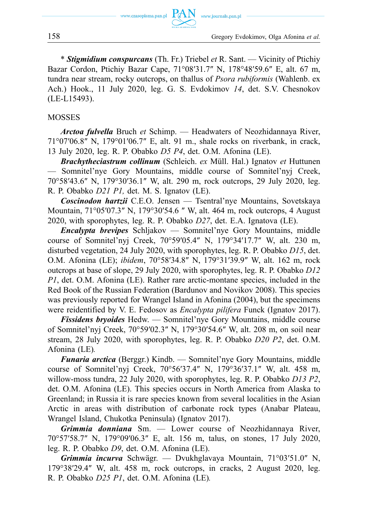\* *Stigmidium conspurcans* (Th. Fr.) Triebel *et* R. Sant. — Vicinity of Ptichiy Bazar Cordon, Ptichiy Bazar Cape, 71°08′31.7″ N, 178°48′59.6″ E, alt. 67 m, tundra near stream, rocky outcrops, on thallus of *Psora rubiformis* (Wahlenb. ex Ach.) Hook., 11 July 2020, leg. G. S. Evdokimov *14*, det. S.V. Chesnokov (LE-L15493).

#### MOSSES

*Arctoa fulvella* Bruch *et* Schimp. — Headwaters of Neozhidannaya River, 71°07′06.8″ N, 179°01′06.7″ E, alt. 91 m., shale rocks on riverbank, in crack, 13 July 2020, leg. R. P. Obabko *D5 P4*, det. O.M. Afonina (LE).

*Brachytheciastrum collinum* (Schleich. *ex* Müll. Hal.) Ignatov *et* Huttunen — Somnitel'nye Gory Mountains, middle course of Somnitel'nyj Creek, 70°58′43.6″ N, 179°30′36.1″ W, alt. 290 m, rock outcrops, 29 July 2020, leg. R. P. Obabko *D21 P1,* det. M. S. Ignatov (LE).

*Coscinodon hartzii* C.E.O. Jensen — Tsentral'nye Mountains, Sovetskaya Mountain, 71°05′07.3″ N, 179°30′54.6 ″ W, alt. 464 m, rock outcrops, 4 August 2020, with sporophytes, leg. R. P. Obabko *D27*, det. E.A. Ignatova (LE).

*Encalypta brevipes* Schljakov — Somnitel'nye Gory Mountains, middle course of Somnitel'nyj Creek, 70°59′05.4″ N, 179°34′17.7″ W, alt. 230 m, disturbed vegetation, 24 July 2020, with sporophytes, leg. R. P. Obabko *D15*, det. O.M. Afonina (LE); *ibidem*, 70°58′34.8″ N, 179°31′39.9″ W, alt. 162 m, rock outcrops at base of slope, 29 July 2020, with sporophytes, leg. R. P. Obabko *D12 P1*, det. O.M. Afonina (LE). Rather rare arctic-montane species, included in the Red Book of the Russian Federation (Bardunov and Novikov 2008). This species was previously reported for Wrangel Island in Afonina (2004), but the specimens were reidentified by V. E. Fedosov as *Encalypta pilifera* Funck (Ignatov 2017).

*Fissidens bryoides* Hedw. — Somnitel'nye Gory Mountains, middle course of Somnitel'nyj Creek, 70°59′02.3″ N, 179°30′54.6″ W, alt. 208 m, on soil near stream, 28 July 2020, with sporophytes, leg. R. P. Obabko *D20 P2*, det. O.M. Afonina (LE)*.* 

*Funaria arctica* (Berggr.) Kindb. — Somnitel'nye Gory Mountains, middle course of Somnitel'nyj Creek, 70°56′37.4″ N, 179°36′37.1″ W, alt. 458 m, willow-moss tundra, 22 July 2020, with sporophytes, leg. R. P. Obabko *D13 P2*, det. O.M. Afonina (LE). This species occurs in North America from Alaska to Greenland; in Russia it is rare species known from several localities in the Asian Arctic in areas with distribution of carbonate rock types (Anabar Plateau, Wrangel Island, Chukotka Peninsula) (Ignatov 2017).

*Grimmia donniana* Sm. — Lower course of Neozhidannaya River, 70°57′58.7″ N, 179°09′06.3″ E, alt. 156 m, talus, on stones, 17 July 2020, leg. R. P. Obabko *D9*, det. O.M. Afonina (LE).

*Grimmia incurva* Schwägr. — Dvukhglavaya Mountain, 71°03′51.0″ N, 179°38′29.4″ W, alt. 458 m, rock outcrops, in cracks, 2 August 2020, leg. R. P. Obabko *D25 P1*, det. O.M. Afonina (LE)*.*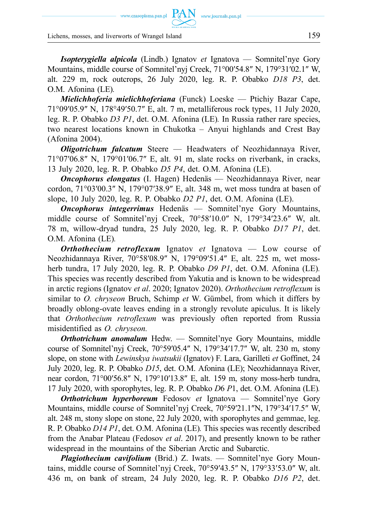www.czasopisma.pan.pl  $\hbox{ PAN }\,$  www.journals.pan.pl

Lichens, mosses, and liverworts of Wrangel Island 159

*Isopterygiella alpicola* (Lindb.) Ignatov *et* Ignatova — Somnitel'nye Gory Mountains, middle course of Somnitel'nyj Creek, 71°00′54.8″ N, 179°31′02.1″ W, alt. 229 m, rock outcrops, 26 July 2020, leg. R. P. Obabko *D18 P3*, det. O.M. Afonina (LE)*.* 

*Mielichhoferia mielichhoferiana* (Funck) Loeske — Ptichiy Bazar Cape, 71°09′05.9″ N, 178°49′50.7″ E, alt. 7 m, metalliferous rock types, 11 July 2020, leg. R. P. Obabko *D3 P1*, det. O.M. Afonina (LE)*.* In Russia rather rare species, two nearest locations known in Chukotka – Anyui highlands and Crest Bay (Afonina 2004).

*Oligotrichum falcatum* Steere — Headwaters of Neozhidannaya River, 71°07′06.8″ N, 179°01′06.7″ E, alt. 91 m, slate rocks on riverbank, in cracks, 13 July 2020, leg. R. P. Obabko *D5 P4*, det. O.M. Afonina (LE).

*Oncophorus elongatus* (I. Hagen) Hedenäs — Neozhidannaya River, near cordon, 71°03′00.3″ N, 179°07′38.9″ E, alt. 348 m, wet moss tundra at basen of slope, 10 July 2020, leg. R. P. Obabko *D2 P1*, det. O.M. Afonina (LE).

*Oncophorus integerrimus* Hedenäs — Somnitel'nye Gory Mountains, middle course of Somnitel'nyj Creek, 70°58′10.0″ N, 179°34′23.6″ W, alt. 78 m, willow-dryad tundra, 25 July 2020, leg. R. P. Obabko *D17 P1*, det. O.M. Afonina (LE)*.* 

*Orthothecium retroflexum* Ignatov *et* Ignatova — Low course of Neozhidannaya River, 70°58′08.9″ N, 179°09′51.4″ E, alt. 225 m, wet mossherb tundra, 17 July 2020, leg. R. P. Obabko *D9 P1*, det. O.M. Afonina (LE)*.*  This species was recently described from Yakutia and is known to be widespread in arctic regions (Ignatov *et al*. 2020; Ignatov 2020). *Orthothecium retroflexum* is similar to *O. chryseon* Bruch, Schimp *et* W. Gümbel, from which it differs by broadly oblong-ovate leaves ending in a strongly revolute apiculus. It is likely that *Orthothecium retroflexum* was previously often reported from Russia misidentified as *O. chryseon.* 

*Orthotrichum anomalum* Hedw. — Somnitel'nye Gory Mountains, middle course of Somnitel'nyj Creek, 70°59′05.4″ N, 179°34′17.7″ W, alt. 230 m, stony slope, on stone with *Lewinskya iwatsukii* (Ignatov) F. Lara, Garilleti *et* Goffinet, 24 July 2020, leg. R. P. Obabko *D15*, det. O.M. Afonina (LE); Neozhidannaya River, near cordon, 71°00′56.8″ N, 179°10′13.8″ E, alt. 159 m, stony moss-herb tundra, 17 July 2020, with sporophytes, leg. R. P. Obabko *D*6 *P*1, det. O.M. Afonina (LE)*.* 

*Orthotrichum hyperboreum* Fedosov *et* Ignatova — Somnitel'nye Gory Mountains, middle course of Somnitel'nyj Creek, 70°59′21.1″N, 179°34′17.5″ W, alt. 248 m, stony slope on stone, 22 July 2020, with sporophytes and gemmae, leg. R. P. Obabko *D14 P1*, det. O.M. Afonina (LE)*.* This species was recently described from the Anabar Plateau (Fedosov *et al*. 2017), and presently known to be rather widespread in the mountains of the Siberian Arctic and Subarctic.

*Plagiothecium cavifolium* (Brid.) Z. Iwats. — Somnitel'nye Gory Mountains, middle course of Somnitel'nyj Creek, 70°59′43.5″ N, 179°33′53.0″ W, alt. 436 m, on bank of stream, 24 July 2020, leg. R. P. Obabko *D16 P2*, det.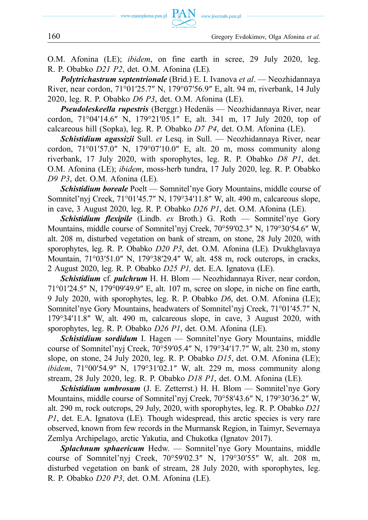

O.M. Afonina (LE); *ibidem*, on fine earth in scree, 29 July 2020, leg. R. P. Obabko *D21 P2*, det. O.M. Afonina (LE)*.* 

*Polytrichastrum septentrionale* (Brid.) E. I. Ivanova *et al*. — Neozhidannaya River, near cordon, 71°01′25.7″ N, 179°07′56.9″ E, alt. 94 m, riverbank, 14 July 2020, leg. R. P. Obabko *D6 P3*, det. O.M. Afonina (LE).

*Pseudoleskeella rupestris* (Berggr.) Hedenäs — Neozhidannaya River, near cordon, 71°04′14.6″ N, 179°21′05.1″ E, alt. 341 m, 17 July 2020, top of calcareous hill (Sopka), leg. R. P. Obabko *D7 P4*, det. O.M. Afonina (LE).

*Schistidium agassizii* Sull. *et* Lesq. in Sull. — Neozhidannaya River, near cordon, 71°01′57.0″ N, 179°07′10.0″ E, alt. 20 m, moss community along riverbank, 17 July 2020, with sporophytes, leg. R. P. Obabko *D8 P1*, det. O.M. Afonina (LE); *ibidem*, moss-herb tundra, 17 July 2020, leg. R. P. Obabko *D9 P3*, det. O.M. Afonina (LE)*.* 

*Schistidium boreale* Poelt — Somnitel'nye Gory Mountains, middle course of Somnitel'nyj Creek, 71°01′45.7″ N, 179°34′11.8″ W, alt. 490 m, calcareous slope, in cave, 3 August 2020, leg. R. P. Obabko *D26 P1*, det. O.M. Afonina (LE).

*Schistidium flexipile* (Lindb. *ex* Broth.) G. Roth — Somnitel'nye Gory Mountains, middle course of Somnitel'nyj Creek, 70°59′02.3″ N, 179°30′54.6″ W, alt. 208 m, disturbed vegetation on bank of stream, on stone, 28 July 2020, with sporophytes, leg. R. P. Obabko *D20 P3*, det. O.M. Afonina (LE)*.* Dvukhglavaya Mountain, 71°03′51.0″ N, 179°38′29.4″ W, alt. 458 m, rock outcrops, in cracks, 2 August 2020, leg. R. P. Obabko *D25 P1,* det. E.A. Ignatova (LE).

*Schistidium* cf. *pulchrum* H. H. Blom — Neozhidannaya River, near cordon, 71°01′24.5″ N, 179°09′49.9″ E, alt. 107 m, scree on slope, in niche on fine earth, 9 July 2020, with sporophytes, leg. R. P. Obabko *D6*, det. O.M. Afonina (LE); Somnitel'nye Gory Mountains, headwaters of Somnitel'nyj Creek, 71°01′45.7″ N, 179°34′11.8″ W, alt. 490 m, calcareous slope, in cave, 3 August 2020, with sporophytes, leg. R. P. Obabko *D26 P1*, det. O.M. Afonina (LE).

*Schistidium sordidum* I. Hagen — Somnitel'nye Gory Mountains, middle course of Somnitel'nyj Creek, 70°59′05.4″ N, 179°34′17.7″ W, alt. 230 m, stony slope, on stone, 24 July 2020, leg. R. P. Obabko *D15*, det. O.M. Afonina (LE); *ibidem*, 71°00′54.9″ N, 179°31′02.1″ W, alt. 229 m, moss community along stream, 28 July 2020, leg. R. P. Obabko *D18 P1*, det. O.M. Afonina (LE)*.* 

*Schistidium umbrosum* (J. E. Zetterrst.) H. H. Blom — Somnitel'nye Gory Mountains, middle course of Somnitel'nyj Creek, 70°58′43.6″ N, 179°30′36.2″ W, alt. 290 m, rock outcrops, 29 July, 2020, with sporophytes, leg. R. P. Obabko *D21 P1*, det. E.A. Ignatova (LE)*.* Though widespread, this arctic species is very rare observed, known from few records in the Murmansk Region, in Taimyr, Severnaya Zemlya Archipelago, arctic Yakutia, and Chukotka (Ignatov 2017).

*Splachnum sphaericum* Hedw. — Somnitel'nye Gory Mountains, middle course of Somnitel'nyj Creek, 70°59′02.3″ N, 179°30′55″ W, alt. 208 m, disturbed vegetation on bank of stream, 28 July 2020, with sporophytes, leg. R. P. Obabko *D20 P3*, det. O.M. Afonina (LE)*.*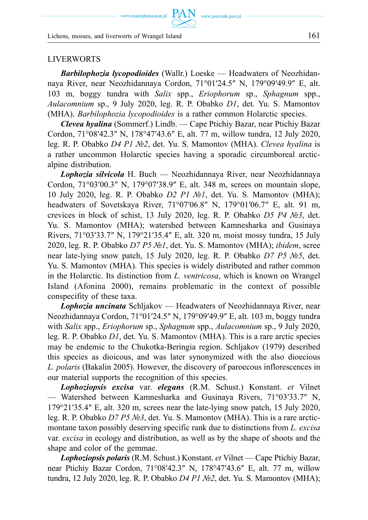www.czasopisma.pan.pl  $\text{ PAN}_{\text{www.journals.pan.pl}}$ 

Lichens, mosses, and liverworts of Wrangel Island 161

#### LIVERWORTS

*Barbilophozia lycopodioides* (Wallr.) Loeske — Headwaters of Neozhidannaya River, near Neozhidannaya Cordon, 71°01′24.5″ N, 179°09′49.9″ E, alt. 103 m, boggy tundra with *Salix* spp., *Eriophorum* sp., *Sphagnum* spp., *Aulacomnium* sp., 9 July 2020, leg. R. P. Obabko *D1*, det. Yu. S. Mamontov (MHA). *Barbilophozia lycopodioides* is a rather common Holarctic species.

*Clevea hyalina* (Sommerf.) Lindb. — Cape Ptichiy Bazar, near Ptichiy Bazar Cordon, 71°08′42.3″ N, 178°47′43.6″ E, alt. 77 m, willow tundra, 12 July 2020, leg. R. P. Obabko *D4 P1 №2*, det. Yu. S. Mamontov (MHA). *Clevea hyalina* is a rather uncommon Holarctic species having a sporadic circumboreal arcticalpine distribution.

*Lophozia silvicola* H. Buch — Neozhidannaya River, near Neozhidannaya Cordon, 71°03′00.3″ N, 179°07′38.9″ E, alt. 348 m, screes on mountain slope, 10 July 2020, leg. R. P. Obabko *D2 P1 №1*, det. Yu. S. Mamontov (MHA); headwaters of Sovetskaya River, 71°07′06.8″ N, 179°01′06.7″ E, alt. 91 m, crevices in block of schist, 13 July 2020, leg. R. P. Obabko *D5 P4 №3*, det. Yu. S. Mamontov (MHA); watershed between Kamnesharka and Gusinaya Rivers, 71°03′33.7″ N, 179°21′35.4″ E, alt. 320 m, moist mossy tundra, 15 July 2020, leg. R. P. Obabko *D7 P5 №1*, det. Yu. S. Mamontov (MHA); *ibidem*, scree near late-lying snow patch, 15 July 2020, leg. R. P. Obabko *D7 P5 №5*, det. Yu. S. Mamontov (MHA). This species is widely distributed and rather common in the Holarctic. Its distinction from *L. ventricosa*, which is known on Wrangel Island (Afonina 2000), remains problematic in the context of possible conspecifity of these taxa.

*Lophozia uncinata* Schljakov — Headwaters of Neozhidannaya River, near Neozhidannaya Cordon, 71°01′24.5″ N, 179°09′49.9″ E, alt. 103 m, boggy tundra with *Salix* spp., *Eriophorum* sp., *Sphagnum* spp., *Aulacomnium* sp., 9 July 2020, leg. R. P. Obabko *D1*, det. Yu. S. Mamontov (MHA). This is a rare arctic species may be endemic to the Chukotka-Beringia region. Schljakov (1979) described this species as dioicous, and was later synonymized with the also dioecious *L. polaris* (Bakalin 2005). However, the discovery of paroecous inflorescences in our material supports the recognition of this species.

*Lophoziopsis excisa* var. *elegans* (R.M. Schust.) Konstant. *et* Vilnet — Watershed between Kamnesharka and Gusinaya Rivers, 71°03′33.7″ N, 179°21′35.4″ E, alt. 320 m, screes near the late-lying snow patch, 15 July 2020, leg. R. P. Obabko *D7 P5 №3*, det. Yu. S. Mamontov (MHA). This is a rare arcticmontane taxon possibly deserving specific rank due to distinctions from *L. excisa*  var. *excisa* in ecology and distribution, as well as by the shape of shoots and the shape and color of the gemmae.

*Lophoziopsis polaris* (R.M. Schust.) Konstant. *et* Vilnet — Cape Ptichiy Bazar, near Ptichiy Bazar Cordon, 71°08′42.3″ N, 178°47′43.6″ E, alt. 77 m, willow tundra, 12 July 2020, leg. R. P. Obabko *D4 P1 №2*, det. Yu. S. Mamontov (MHA);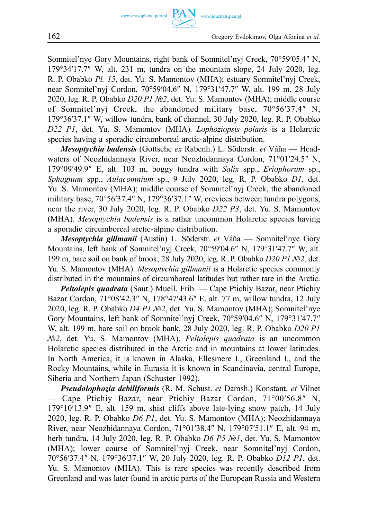

Somnitel'nye Gory Mountains, right bank of Somnitel'nyj Creek, 70°59′05.4″ N, 179°34′17.7″ W, alt. 231 m, tundra on the mountain slope, 24 July 2020, leg. R. P. Obabko *Pl. 15*, det. Yu. S. Mamontov (MHA); estuary Somnitel'nyj Creek, near Somnitel'nyj Cordon, 70°59′04.6″ N, 179°31′47.7″ W, alt. 199 m, 28 July 2020, leg. R. P. Obabko *D20 P1 №2*, det. Yu. S. Mamontov (MHA); middle course of Somnitel'nyj Creek, the abandoned military base, 70°56′37.4″ N, 179°36′37.1″ W, willow tundra, bank of channel, 30 July 2020, leg. R. P. Obabko *D22 P1*, det. Yu. S. Mamontov (MHA). *Lophoziopsis polaris* is a Holarctic species having a sporadic circumboreal arctic-alpine distribution.

*Mesoptychia badensis* (Gottsche *ex* Rabenh.) L. Söderstr. *et* Váňa — Headwaters of Neozhidannaya River, near Neozhidannaya Cordon, 71°01′24.5″ N, 179°09′49.9″ E, alt. 103 m, boggy tundra with *Salix* spp., *Eriophorum* sp., *Sphagnum* spp., *Aulacomnium* sp., 9 July 2020, leg. R. P. Obabko *D1*, det. Yu. S. Mamontov (MHA); middle course of Somnitel'nyj Creek, the abandoned military base, 70°56′37.4″ N, 179°36′37.1″ W, crevices between tundra polygons, near the river, 30 July 2020, leg. R. P. Obabko *D22 P3*, det. Yu. S. Mamontov (MHA). *Mesoptychia badensis* is a rather uncommon Holarctic species having a sporadic circumboreal arctic-alpine distribution.

*Mesoptychia gillmanii* (Austin) L. Söderstr. *et* Váňa — Somnitel'nye Gory Mountains, left bank of Somnitel'nyj Creek, 70°59′04.6″ N, 179°31′47.7″ W, alt. 199 m, bare soil on bank of brook, 28 July 2020, leg. R. P. Obabko *D20 P1 №2*, det. Yu. S. Mamontov (MHA). *Mesoptychia gillmanii* is a Holarctic species commonly distributed in the mountains of circumboreal latitudes but rather rare in the Arctic.

*Peltolepis quadrata* (Saut.) Muell. Frib. — Cape Ptichiy Bazar, near Ptichiy Bazar Cordon, 71°08′42.3″ N, 178°47′43.6″ E, alt. 77 m, willow tundra, 12 July 2020, leg. R. P. Obabko *D4 P1 №2*, det. Yu. S. Mamontov (MHA); Somnitel'nye Gory Mountains, left bank of Somnitel'nyj Creek, 70°59′04.6″ N, 179°31′47.7″ W, alt. 199 m, bare soil on brook bank, 28 July 2020, leg. R. P. Obabko *D20 P1 №2*, det. Yu. S. Mamontov (MHA). *Peltolepis quadrata* is an uncommon Holarctic species distributed in the Arctic and in mountains at lower latitudes. In North America, it is known in Alaska, Ellesmere I., Greenland I., and the Rocky Mountains, while in Eurasia it is known in Scandinavia, central Europe, Siberia and Northern Japan (Schuster 1992).

*Pseudolophozia debiliformis* (R. M. Schust. *et* Damsh.) Konstant. *et* Vilnet — Cape Ptichiy Bazar, near Ptichiy Bazar Cordon, 71°00′56.8″ N, 179°10′13.9″ E, alt. 159 m, shist cliffs above late-lying snow patch, 14 July 2020, leg. R. P. Obabko *D6 P1*, det. Yu. S. Mamontov (MHA); Neozhidannaya River, near Neozhidannaya Cordon, 71°01′38.4″ N, 179°07′51.1″ E, alt. 94 m, herb tundra, 14 July 2020, leg. R. P. Obabko *D6 P5 №1*, det. Yu. S. Mamontov (MHA); lower course of Somnitel'nyj Creek, near Somnitel'nyj Cordon, 70°56′37.4″ N, 179°36′37.1″ W, 20 July 2020, leg. R. P. Obabko *D12 P1*, det. Yu. S. Mamontov (MHA). This is rare species was recently described from Greenland and was later found in arctic parts of the European Russia and Western